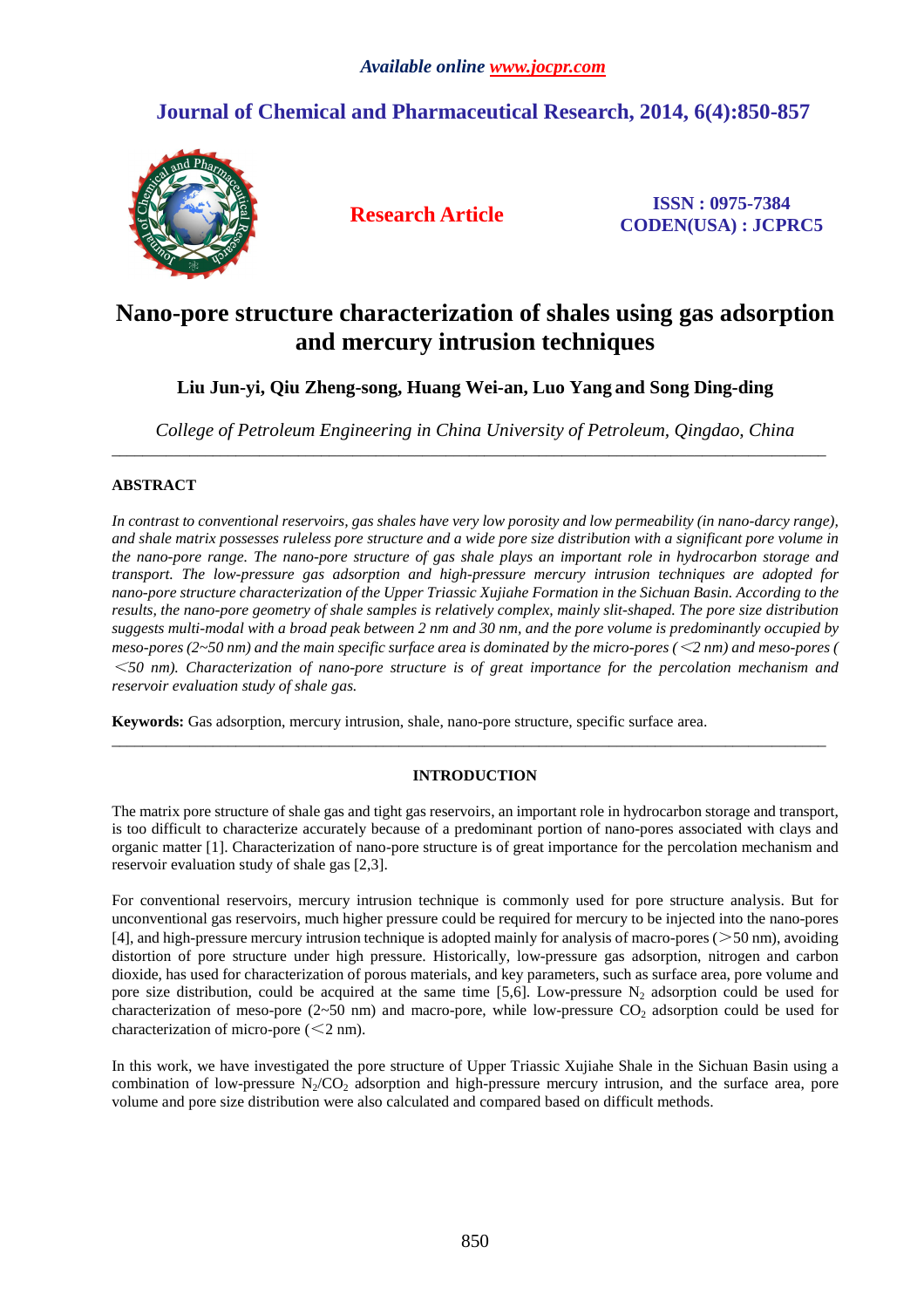# **Journal of Chemical and Pharmaceutical Research, 2014, 6(4):850-857**



**Research Article ISSN : 0975-7384 CODEN(USA) : JCPRC5**

# **Nano-pore structure characterization of shales using gas adsorption and mercury intrusion techniques**

**Liu Jun-yi, Qiu Zheng-song, Huang Wei-an, Luo Yang and Song Ding-ding**

*College of Petroleum Engineering in China University of Petroleum, Qingdao, China* \_\_\_\_\_\_\_\_\_\_\_\_\_\_\_\_\_\_\_\_\_\_\_\_\_\_\_\_\_\_\_\_\_\_\_\_\_\_\_\_\_\_\_\_\_\_\_\_\_\_\_\_\_\_\_\_\_\_\_\_\_\_\_\_\_\_\_\_\_\_\_\_\_\_\_\_\_\_\_\_\_\_\_\_\_\_\_\_\_\_\_\_

# **ABSTRACT**

*In contrast to conventional reservoirs, gas shales have very low porosity and low permeability (in nano-darcy range), and shale matrix possesses ruleless pore structure and a wide pore size distribution with a significant pore volume in the nano-pore range. The nano-pore structure of gas shale plays an important role in hydrocarbon storage and transport. The low-pressure gas adsorption and high-pressure mercury intrusion techniques are adopted for nano-pore structure characterization of the Upper Triassic Xujiahe Formation in the Sichuan Basin. According to the results, the nano-pore geometry of shale samples is relatively complex, mainly slit-shaped. The pore size distribution suggests multi-modal with a broad peak between 2 nm and 30 nm, and the pore volume is predominantly occupied by meso-pores (2~50 nm) and the main specific surface area is dominated by the micro-pores (*<*2 nm) and meso-pores (* <sup>&</sup>lt;*50 nm). Characterization of nano-pore structure is of great importance for the percolation mechanism and reservoir evaluation study of shale gas.* 

**Keywords:** Gas adsorption, mercury intrusion, shale, nano-pore structure, specific surface area.

## **INTRODUCTION**

 $\overline{\phantom{a}}$  , and the state of the state of the state of the state of the state of the state of the state of the state of the state of the state of the state of the state of the state of the state of the state of the stat

The matrix pore structure of shale gas and tight gas reservoirs, an important role in hydrocarbon storage and transport, is too difficult to characterize accurately because of a predominant portion of nano-pores associated with clays and organic matter [1]. Characterization of nano-pore structure is of great importance for the percolation mechanism and reservoir evaluation study of shale gas [2,3].

For conventional reservoirs, mercury intrusion technique is commonly used for pore structure analysis. But for unconventional gas reservoirs, much higher pressure could be required for mercury to be injected into the nano-pores [4], and high-pressure mercury intrusion technique is adopted mainly for analysis of macro-pores ( $>50$  nm), avoiding distortion of pore structure under high pressure. Historically, low-pressure gas adsorption, nitrogen and carbon dioxide, has used for characterization of porous materials, and key parameters, such as surface area, pore volume and pore size distribution, could be acquired at the same time [5,6]. Low-pressure  $N_2$  adsorption could be used for characterization of meso-pore ( $2~50$  nm) and macro-pore, while low-pressure  $CO<sub>2</sub>$  adsorption could be used for characterization of micro-pore  $(< 2$  nm).

In this work, we have investigated the pore structure of Upper Triassic Xujiahe Shale in the Sichuan Basin using a combination of low-pressure  $N<sub>2</sub>/CO<sub>2</sub>$  adsorption and high-pressure mercury intrusion, and the surface area, pore volume and pore size distribution were also calculated and compared based on difficult methods.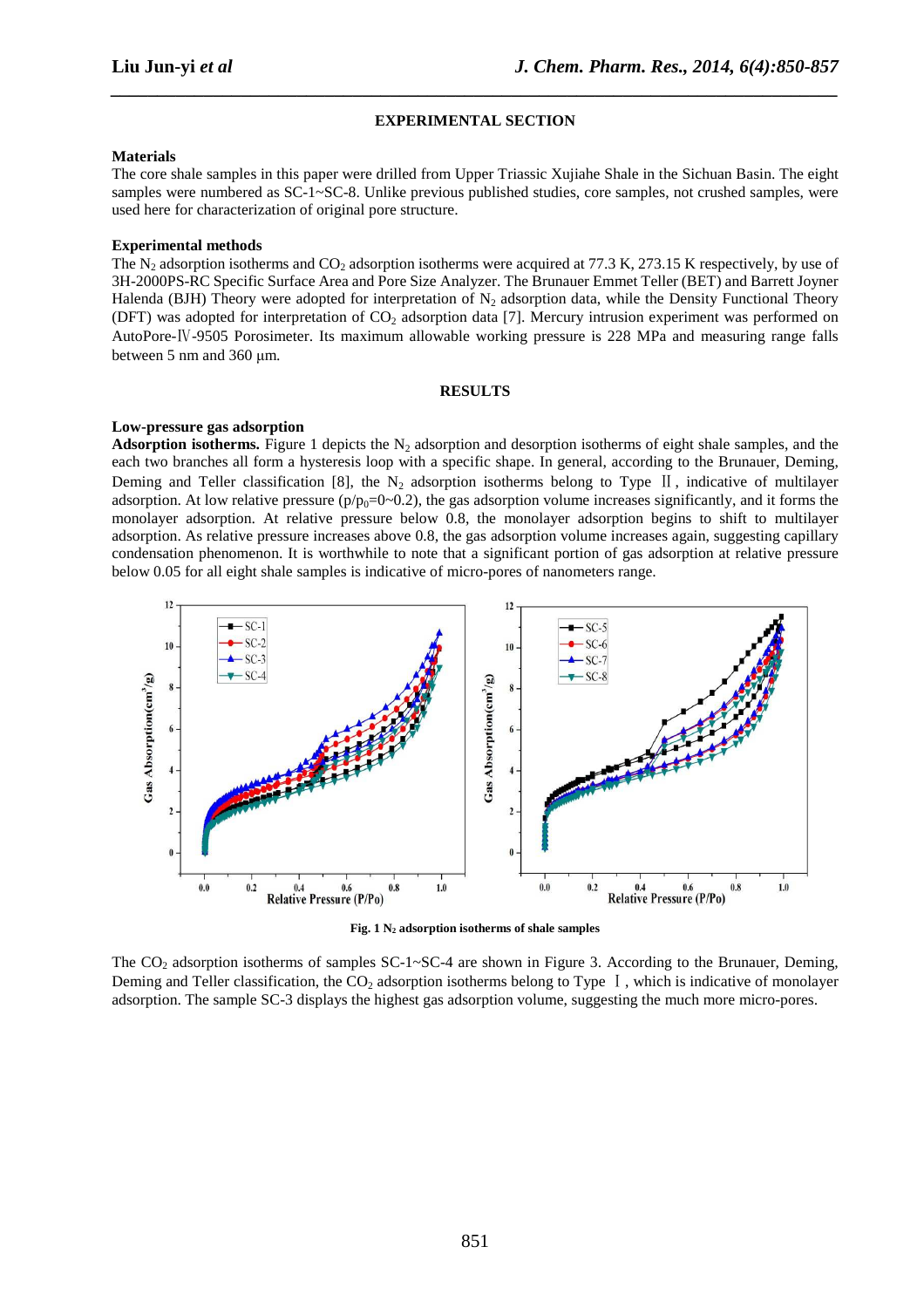#### **EXPERIMENTAL SECTION**

*\_\_\_\_\_\_\_\_\_\_\_\_\_\_\_\_\_\_\_\_\_\_\_\_\_\_\_\_\_\_\_\_\_\_\_\_\_\_\_\_\_\_\_\_\_\_\_\_\_\_\_\_\_\_\_\_\_\_\_\_\_\_\_\_\_\_\_\_\_\_\_\_\_\_\_\_\_\_*

#### **Materials**

The core shale samples in this paper were drilled from Upper Triassic Xujiahe Shale in the Sichuan Basin. The eight samples were numbered as SC-1~SC-8. Unlike previous published studies, core samples, not crushed samples, were used here for characterization of original pore structure.

### **Experimental methods**

The  $N_2$  adsorption isotherms and  $CO_2$  adsorption isotherms were acquired at 77.3 K, 273.15 K respectively, by use of 3H-2000PS-RC Specific Surface Area and Pore Size Analyzer. The Brunauer Emmet Teller (BET) and Barrett Joyner Halenda (BJH) Theory were adopted for interpretation of  $N_2$  adsorption data, while the Density Functional Theory (DFT) was adopted for interpretation of  $CO<sub>2</sub>$  adsorption data [7]. Mercury intrusion experiment was performed on AutoPore-Ⅳ-9505 Porosimeter. Its maximum allowable working pressure is 228 MPa and measuring range falls between 5 nm and 360 µm.

#### **RESULTS**

#### **Low-pressure gas adsorption**

**Adsorption isotherms.** Figure 1 depicts the  $N_2$  adsorption and desorption isotherms of eight shale samples, and the each two branches all form a hysteresis loop with a specific shape. In general, according to the Brunauer, Deming, Deming and Teller classification [8], the  $N_2$  adsorption isotherms belong to Type II, indicative of multilayer adsorption. At low relative pressure  $(p/p_0=0~0.2)$ , the gas adsorption volume increases significantly, and it forms the monolayer adsorption. At relative pressure below 0.8, the monolayer adsorption begins to shift to multilayer adsorption. As relative pressure increases above 0.8, the gas adsorption volume increases again, suggesting capillary condensation phenomenon. It is worthwhile to note that a significant portion of gas adsorption at relative pressure below 0.05 for all eight shale samples is indicative of micro-pores of nanometers range.





The  $CO<sub>2</sub>$  adsorption isotherms of samples  $SC-1~SC-4$  are shown in Figure 3. According to the Brunauer, Deming, Deming and Teller classification, the CO<sub>2</sub> adsorption isotherms belong to Type  $\vert \cdot \vert$ , which is indicative of monolayer adsorption. The sample SC-3 displays the highest gas adsorption volume, suggesting the much more micro-pores.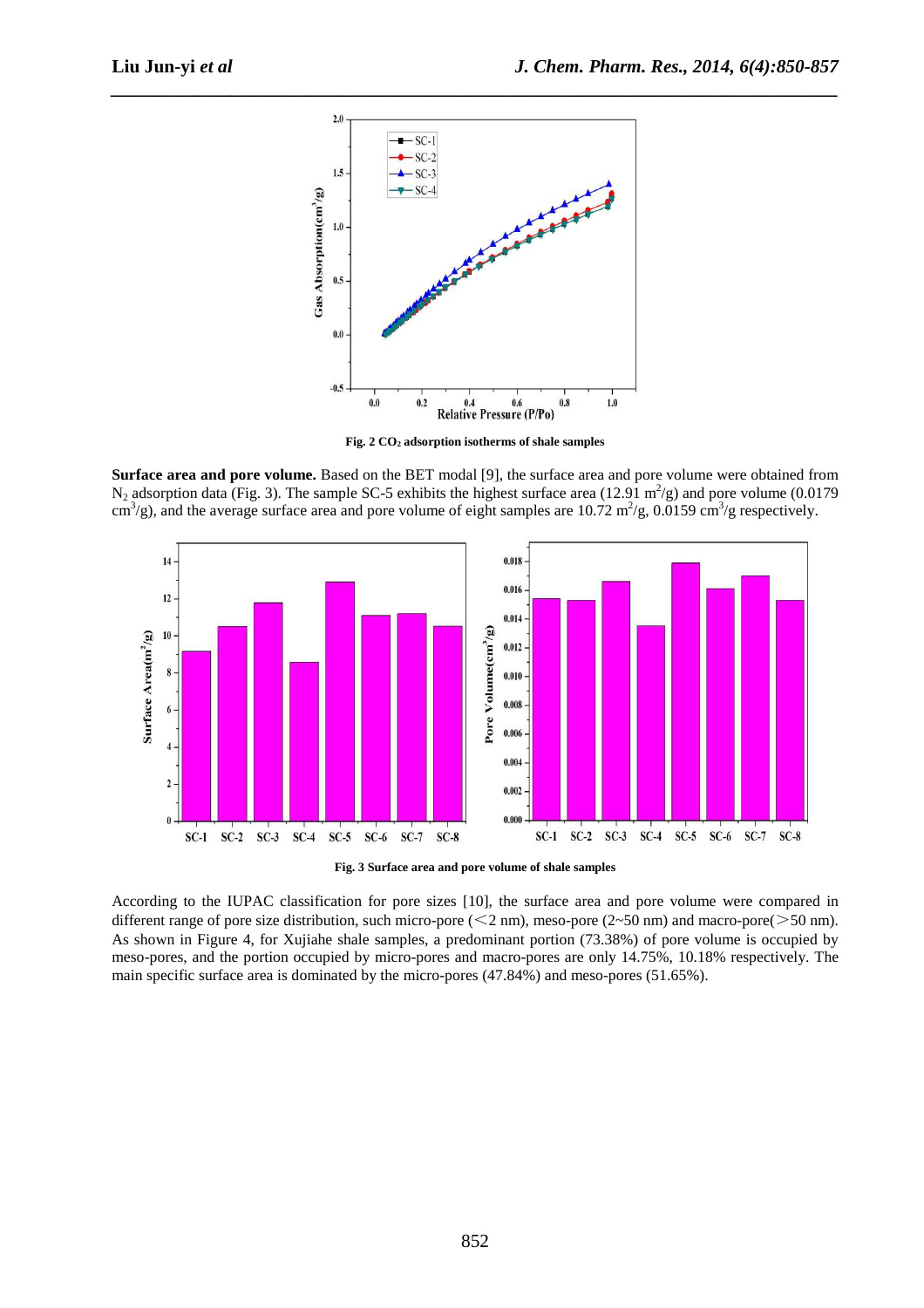

*\_\_\_\_\_\_\_\_\_\_\_\_\_\_\_\_\_\_\_\_\_\_\_\_\_\_\_\_\_\_\_\_\_\_\_\_\_\_\_\_\_\_\_\_\_\_\_\_\_\_\_\_\_\_\_\_\_\_\_\_\_\_\_\_\_\_\_\_\_\_\_\_\_\_\_\_\_\_*

**Fig. 2 CO2 adsorption isotherms of shale samples** 

**Surface area and pore volume.** Based on the BET modal [9], the surface area and pore volume were obtained from  $N_2$  adsorption data (Fig. 3). The sample SC-5 exhibits the highest surface area (12.91 m<sup>2</sup>/g) and pore volume (0.0179 cm<sup>3</sup>/g), and the average surface area and pore volume of eight samples are 10.72 m<sup>2</sup>/g, 0.0159 cm<sup>3</sup>/g respectively.



**Fig. 3 Surface area and pore volume of shale samples** 

According to the IUPAC classification for pore sizes [10], the surface area and pore volume were compared in different range of pore size distribution, such micro-pore (<2 nm), meso-pore (2~50 nm) and macro-pore(>50 nm). As shown in Figure 4, for Xujiahe shale samples, a predominant portion (73.38%) of pore volume is occupied by meso-pores, and the portion occupied by micro-pores and macro-pores are only 14.75%, 10.18% respectively. The main specific surface area is dominated by the micro-pores (47.84%) and meso-pores (51.65%).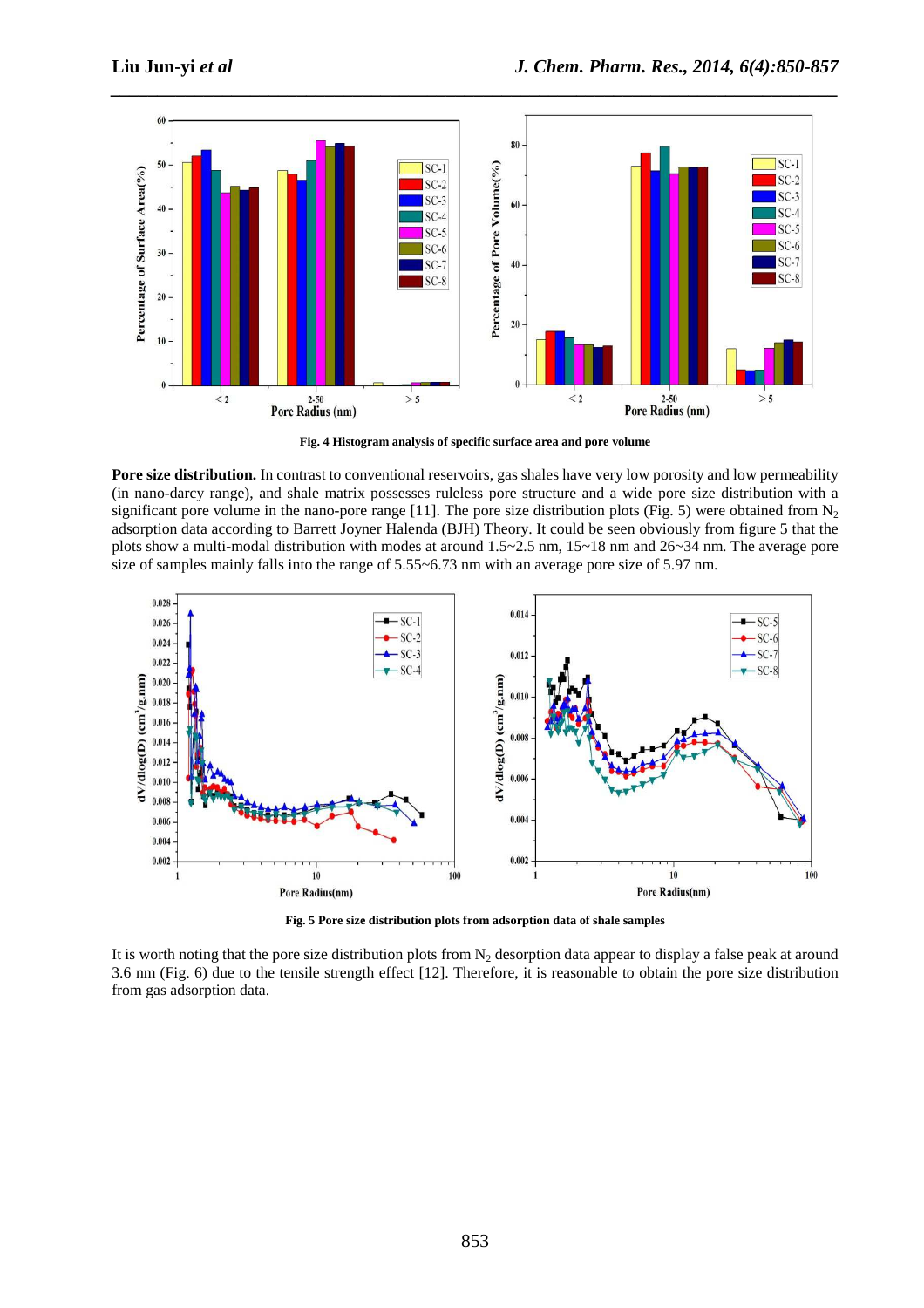

**Fig. 4 Histogram analysis of specific surface area and pore volume** 

**Pore size distribution.** In contrast to conventional reservoirs, gas shales have very low porosity and low permeability (in nano-darcy range), and shale matrix possesses ruleless pore structure and a wide pore size distribution with a significant pore volume in the nano-pore range [11]. The pore size distribution plots (Fig. 5) were obtained from  $N_2$ adsorption data according to Barrett Joyner Halenda (BJH) Theory. It could be seen obviously from figure 5 that the plots show a multi-modal distribution with modes at around 1.5~2.5 nm, 15~18 nm and 26~34 nm. The average pore size of samples mainly falls into the range of 5.55~6.73 nm with an average pore size of 5.97 nm.



**Fig. 5 Pore size distribution plots from adsorption data of shale samples** 

It is worth noting that the pore size distribution plots from  $N_2$  desorption data appear to display a false peak at around 3.6 nm (Fig. 6) due to the tensile strength effect [12]. Therefore, it is reasonable to obtain the pore size distribution from gas adsorption data.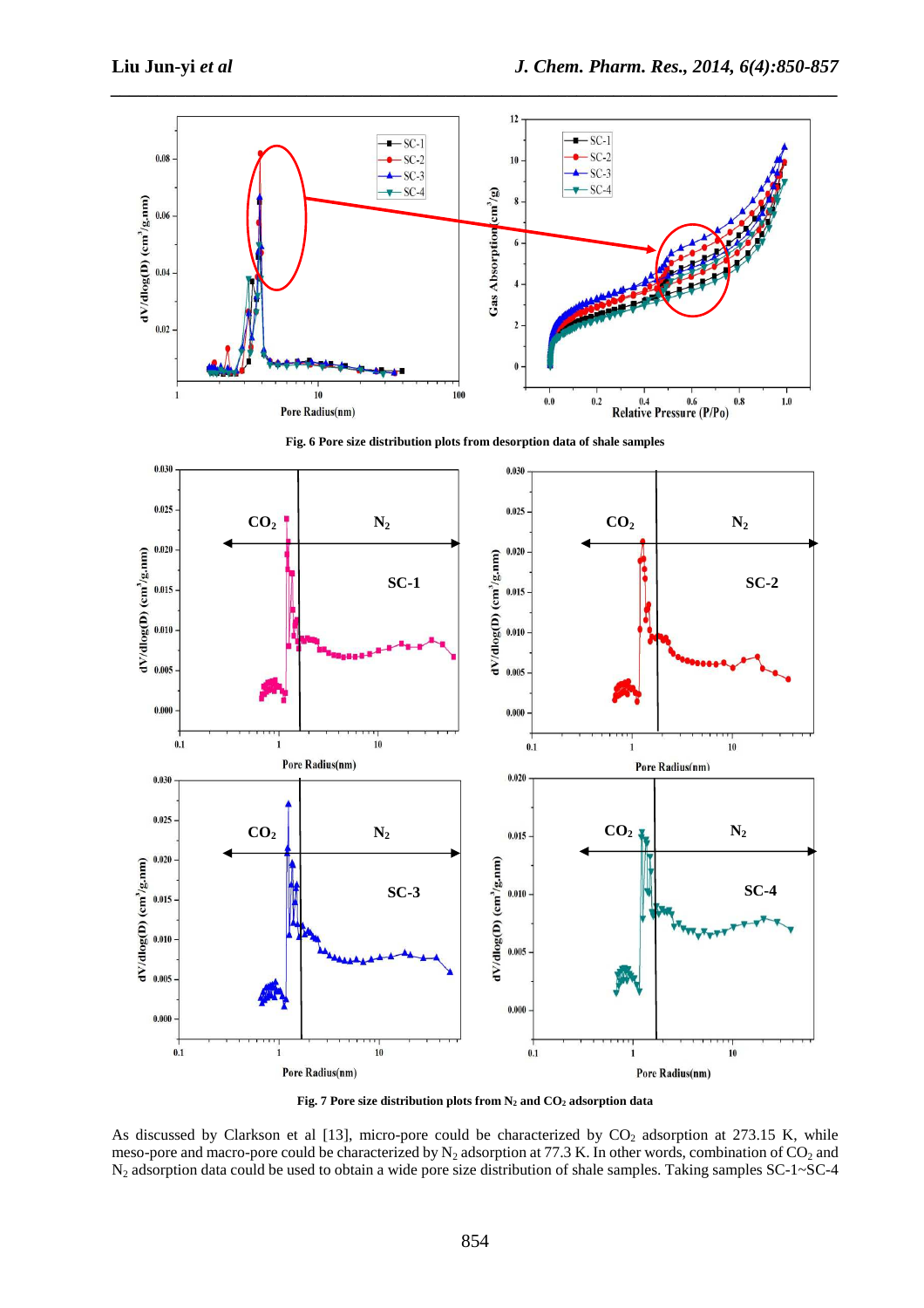

**Fig. 6 Pore size distribution plots from desorption data of shale samples** 



**Fig. 7 Pore size distribution plots from N2 and CO2 adsorption data** 

As discussed by Clarkson et al [13], micro-pore could be characterized by  $CO<sub>2</sub>$  adsorption at 273.15 K, while meso-pore and macro-pore could be characterized by  $N_2$  adsorption at 77.3 K. In other words, combination of  $CO_2$  and N2 adsorption data could be used to obtain a wide pore size distribution of shale samples. Taking samples SC-1~SC-4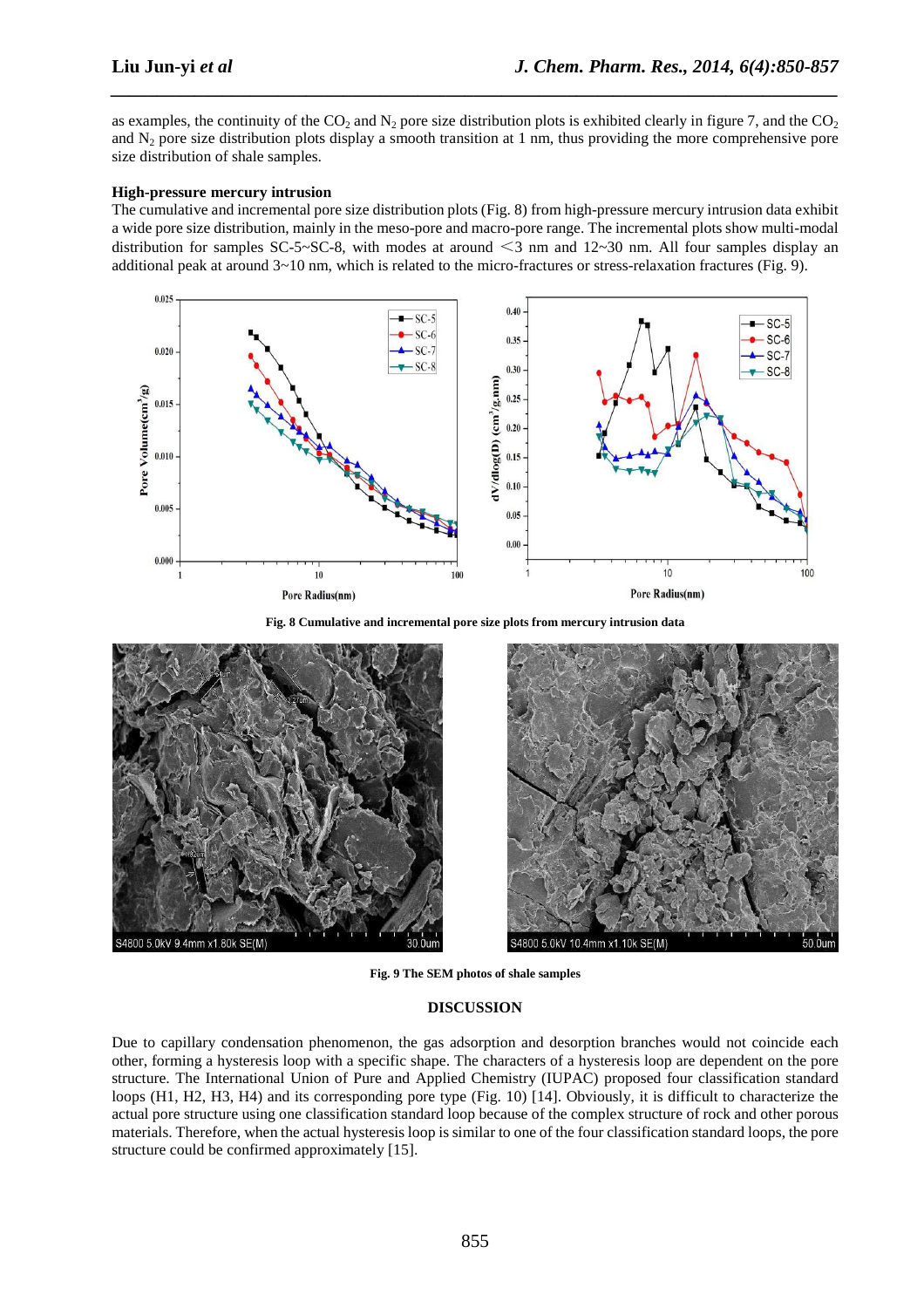as examples, the continuity of the  $CO_2$  and  $N_2$  pore size distribution plots is exhibited clearly in figure 7, and the  $CO_2$ and  $N_2$  pore size distribution plots display a smooth transition at 1 nm, thus providing the more comprehensive pore size distribution of shale samples.

*\_\_\_\_\_\_\_\_\_\_\_\_\_\_\_\_\_\_\_\_\_\_\_\_\_\_\_\_\_\_\_\_\_\_\_\_\_\_\_\_\_\_\_\_\_\_\_\_\_\_\_\_\_\_\_\_\_\_\_\_\_\_\_\_\_\_\_\_\_\_\_\_\_\_\_\_\_\_*

## **High-pressure mercury intrusion**

The cumulative and incremental pore size distribution plots (Fig. 8) from high-pressure mercury intrusion data exhibit a wide pore size distribution, mainly in the meso-pore and macro-pore range. The incremental plots show multi-modal distribution for samples SC-5~SC-8, with modes at around  $\leq$ 3 nm and 12~30 nm. All four samples display an additional peak at around  $3 \sim 10$  nm, which is related to the micro-fractures or stress-relaxation fractures (Fig. 9).



**Fig. 8 Cumulative and incremental pore size plots from mercury intrusion data** 





**Fig. 9 The SEM photos of shale samples** 

## **DISCUSSION**

Due to capillary condensation phenomenon, the gas adsorption and desorption branches would not coincide each other, forming a hysteresis loop with a specific shape. The characters of a hysteresis loop are dependent on the pore structure. The International Union of Pure and Applied Chemistry (IUPAC) proposed four classification standard loops (H1, H2, H3, H4) and its corresponding pore type (Fig. 10) [14]. Obviously, it is difficult to characterize the actual pore structure using one classification standard loop because of the complex structure of rock and other porous materials. Therefore, when the actual hysteresis loop is similar to one of the four classification standard loops, the pore structure could be confirmed approximately [15].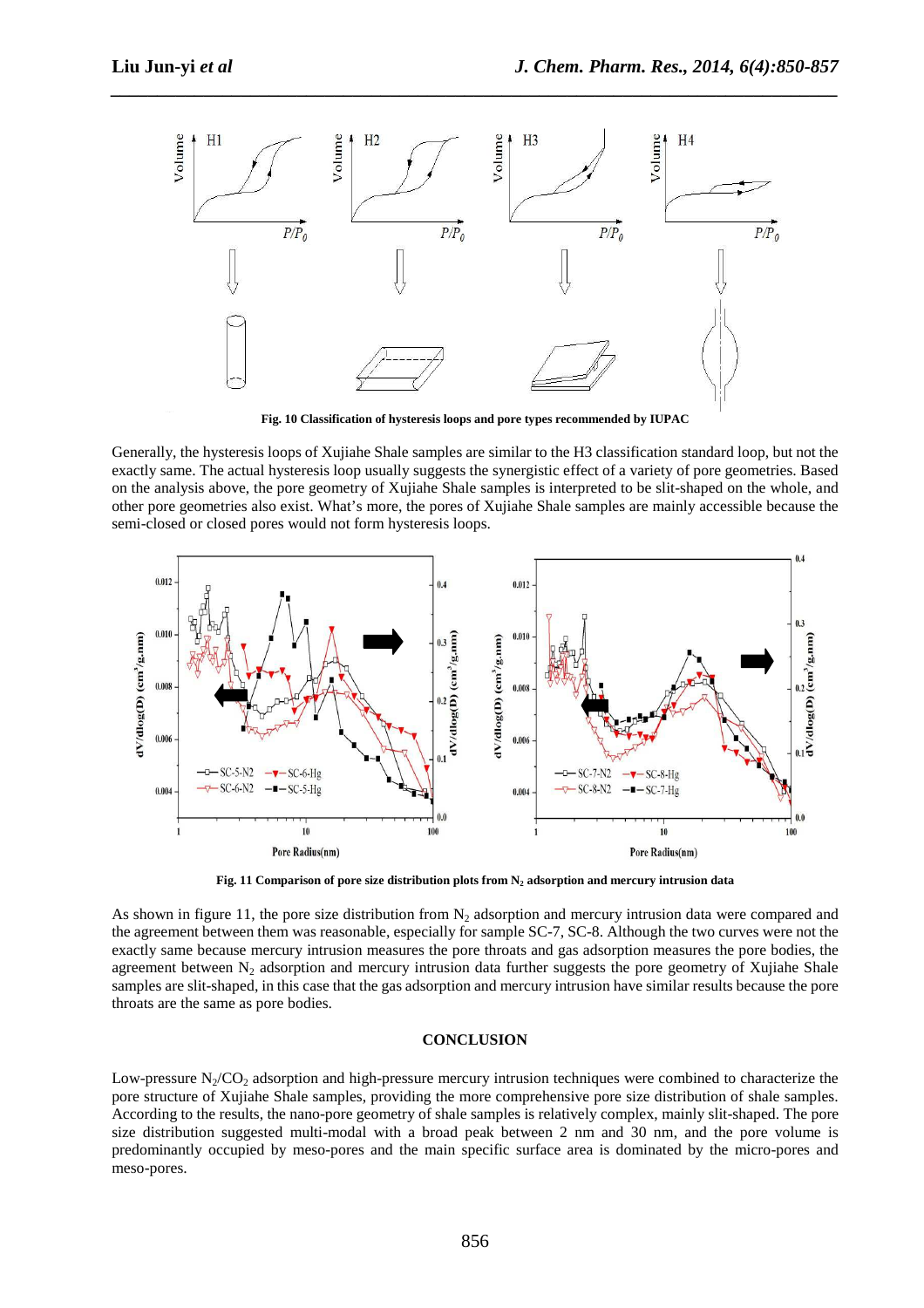

*\_\_\_\_\_\_\_\_\_\_\_\_\_\_\_\_\_\_\_\_\_\_\_\_\_\_\_\_\_\_\_\_\_\_\_\_\_\_\_\_\_\_\_\_\_\_\_\_\_\_\_\_\_\_\_\_\_\_\_\_\_\_\_\_\_\_\_\_\_\_\_\_\_\_\_\_\_\_*

**Fig. 10 Classification of hysteresis loops and pore types recommended by IUPAC** 

Generally, the hysteresis loops of Xujiahe Shale samples are similar to the H3 classification standard loop, but not the exactly same. The actual hysteresis loop usually suggests the synergistic effect of a variety of pore geometries. Based on the analysis above, the pore geometry of Xujiahe Shale samples is interpreted to be slit-shaped on the whole, and other pore geometries also exist. What's more, the pores of Xujiahe Shale samples are mainly accessible because the semi-closed or closed pores would not form hysteresis loops.



**Fig. 11 Comparison of pore size distribution plots from N2 adsorption and mercury intrusion data** 

As shown in figure 11, the pore size distribution from  $N<sub>2</sub>$  adsorption and mercury intrusion data were compared and the agreement between them was reasonable, especially for sample SC-7, SC-8. Although the two curves were not the exactly same because mercury intrusion measures the pore throats and gas adsorption measures the pore bodies, the agreement between  $N<sub>2</sub>$  adsorption and mercury intrusion data further suggests the pore geometry of Xujiahe Shale samples are slit-shaped, in this case that the gas adsorption and mercury intrusion have similar results because the pore throats are the same as pore bodies.

#### **CONCLUSION**

Low-pressure  $N_2/CO_2$  adsorption and high-pressure mercury intrusion techniques were combined to characterize the pore structure of Xujiahe Shale samples, providing the more comprehensive pore size distribution of shale samples. According to the results, the nano-pore geometry of shale samples is relatively complex, mainly slit-shaped. The pore size distribution suggested multi-modal with a broad peak between 2 nm and 30 nm, and the pore volume is predominantly occupied by meso-pores and the main specific surface area is dominated by the micro-pores and meso-pores.